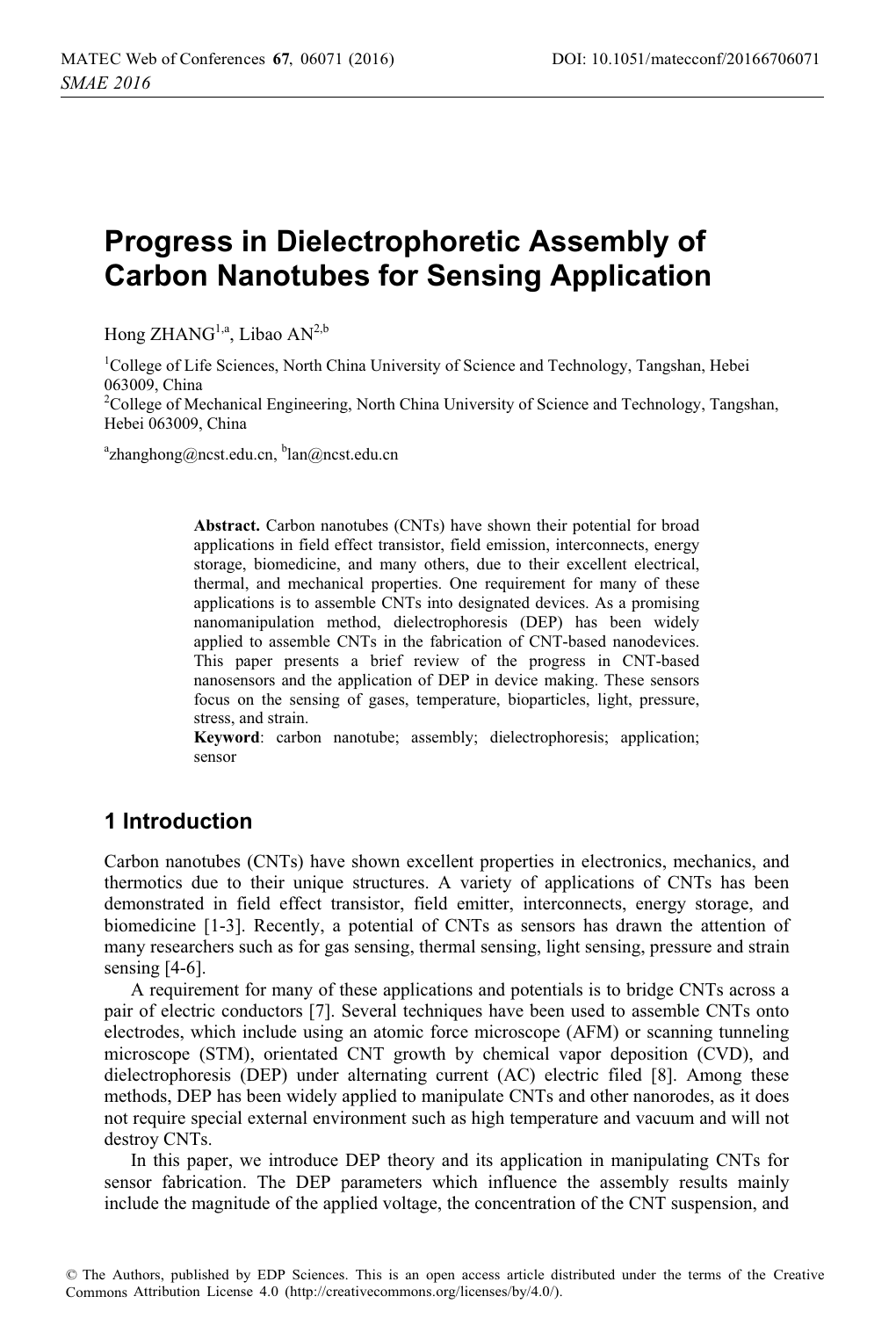# **Progress in Dielectrophoretic Assembly of Carbon Nanotubes for Sensing Application**

Hong  $ZHANG<sup>1,a</sup>$ , Libao AN<sup>2,b</sup>

<sup>1</sup>College of Life Sciences, North China University of Science and Technology, Tangshan, Hebei 063009, China

<sup>2</sup>College of Mechanical Engineering, North China University of Science and Technology, Tangshan, Hebei 063009, China

<sup>a</sup>zhanghong@ncst.edu.cn, <sup>b</sup>lan@ncst.edu.cn

**Abstract.** Carbon nanotubes (CNTs) have shown their potential for broad applications in field effect transistor, field emission, interconnects, energy storage, biomedicine, and many others, due to their excellent electrical, thermal, and mechanical properties. One requirement for many of these applications is to assemble CNTs into designated devices. As a promising nanomanipulation method, dielectrophoresis (DEP) has been widely applied to assemble CNTs in the fabrication of CNT-based nanodevices. This paper presents a brief review of the progress in CNT-based nanosensors and the application of DEP in device making. These sensors focus on the sensing of gases, temperature, bioparticles, light, pressure, stress, and strain.

**Keyword**: carbon nanotube; assembly; dielectrophoresis; application; sensor

# **1 Introduction**

Carbon nanotubes (CNTs) have shown excellent properties in electronics, mechanics, and thermotics due to their unique structures. A variety of applications of CNTs has been demonstrated in field effect transistor, field emitter, interconnects, energy storage, and biomedicine [1-3]. Recently, a potential of CNTs as sensors has drawn the attention of many researchers such as for gas sensing, thermal sensing, light sensing, pressure and strain sensing [4-6].

A requirement for many of these applications and potentials is to bridge CNTs across a pair of electric conductors [7]. Several techniques have been used to assemble CNTs onto electrodes, which include using an atomic force microscope (AFM) or scanning tunneling microscope (STM), orientated CNT growth by chemical vapor deposition (CVD), and dielectrophoresis (DEP) under alternating current (AC) electric filed [8]. Among these methods, DEP has been widely applied to manipulate CNTs and other nanorodes, as it does not require special external environment such as high temperature and vacuum and will not destroy CNTs.

In this paper, we introduce DEP theory and its application in manipulating CNTs for sensor fabrication. The DEP parameters which influence the assembly results mainly include the magnitude of the applied voltage, the concentration of the CNT suspension, and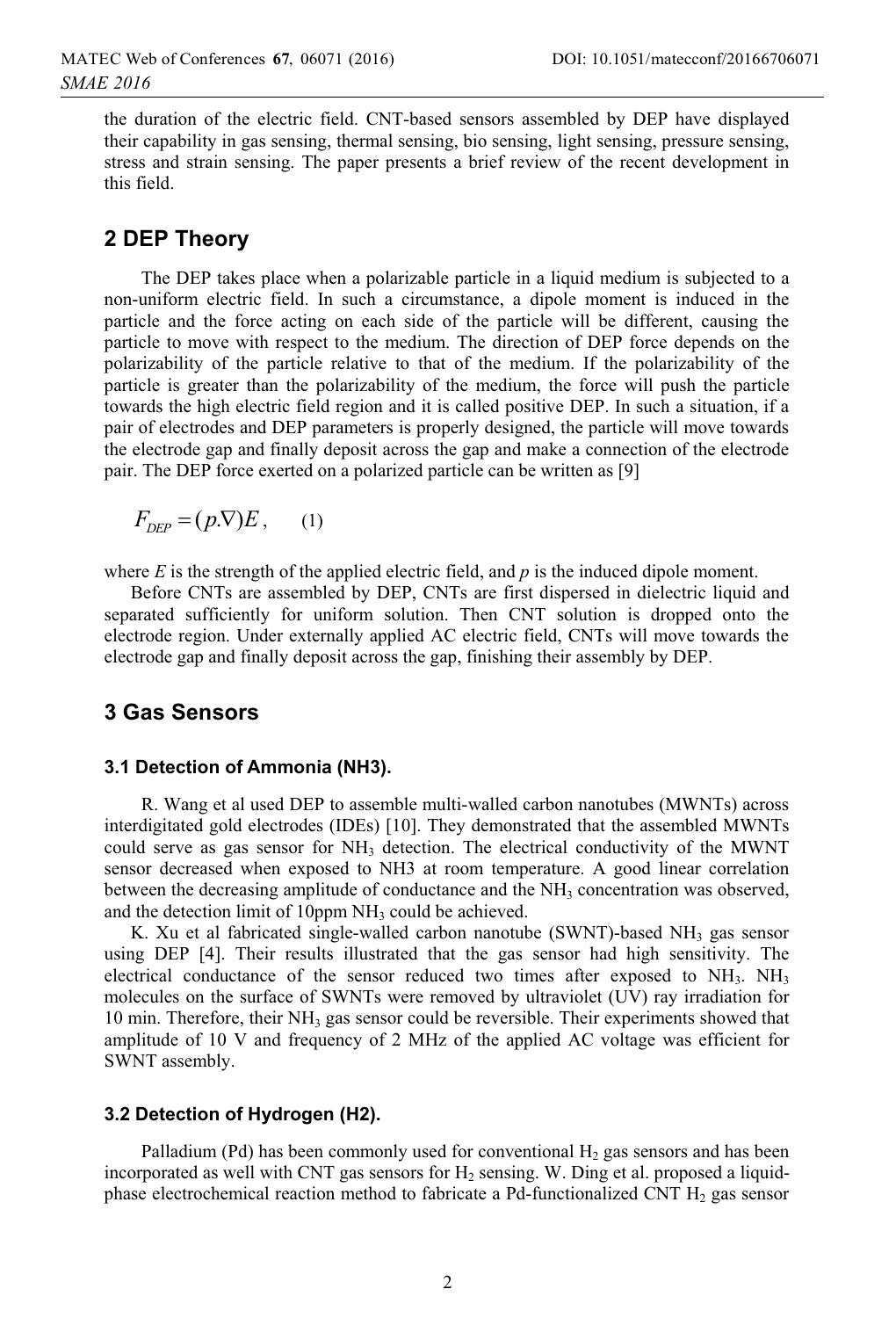the duration of the electric field. CNT-based sensors assembled by DEP have displayed their capability in gas sensing, thermal sensing, bio sensing, light sensing, pressure sensing, stress and strain sensing. The paper presents a brief review of the recent development in this field.

# **2 DEP Theory**

The DEP takes place when a polarizable particle in a liquid medium is subjected to a non-uniform electric field. In such a circumstance, a dipole moment is induced in the particle and the force acting on each side of the particle will be different, causing the particle to move with respect to the medium. The direction of DEP force depends on the polarizability of the particle relative to that of the medium. If the polarizability of the particle is greater than the polarizability of the medium, the force will push the particle towards the high electric field region and it is called positive DEP. In such a situation, if a pair of electrodes and DEP parameters is properly designed, the particle will move towards the electrode gap and finally deposit across the gap and make a connection of the electrode pair. The DEP force exerted on a polarized particle can be written as [9]

 $F_{DEP} = (p.\nabla)E$ , (1)

where  $E$  is the strength of the applied electric field, and  $p$  is the induced dipole moment.

Before CNTs are assembled by DEP, CNTs are first dispersed in dielectric liquid and separated sufficiently for uniform solution. Then CNT solution is dropped onto the electrode region. Under externally applied AC electric field, CNTs will move towards the electrode gap and finally deposit across the gap, finishing their assembly by DEP.

### **3 Gas Sensors**

### **3.1 Detection of Ammonia (NH3).**

R. Wang et al used DEP to assemble multi-walled carbon nanotubes (MWNTs) across interdigitated gold electrodes (IDEs) [10]. They demonstrated that the assembled MWNTs could serve as gas sensor for  $NH<sub>3</sub>$  detection. The electrical conductivity of the MWNT sensor decreased when exposed to NH3 at room temperature. A good linear correlation between the decreasing amplitude of conductance and the  $NH<sub>3</sub>$  concentration was observed, and the detection limit of  $10$ ppm NH<sub>3</sub> could be achieved.

K. Xu et al fabricated single-walled carbon nanotube (SWNT)-based NH<sub>3</sub> gas sensor using DEP [4]. Their results illustrated that the gas sensor had high sensitivity. The electrical conductance of the sensor reduced two times after exposed to  $NH<sub>3</sub>$ .  $NH<sub>3</sub>$ molecules on the surface of SWNTs were removed by ultraviolet (UV) ray irradiation for 10 min. Therefore, their  $NH<sub>3</sub>$  gas sensor could be reversible. Their experiments showed that amplitude of 10 V and frequency of 2 MHz of the applied AC voltage was efficient for SWNT assembly.

### **3.2 Detection of Hydrogen (H2).**

Palladium (Pd) has been commonly used for conventional  $H_2$  gas sensors and has been incorporated as well with CNT gas sensors for  $H_2$  sensing. W. Ding et al. proposed a liquidphase electrochemical reaction method to fabricate a Pd-functionalized CNT  $H_2$  gas sensor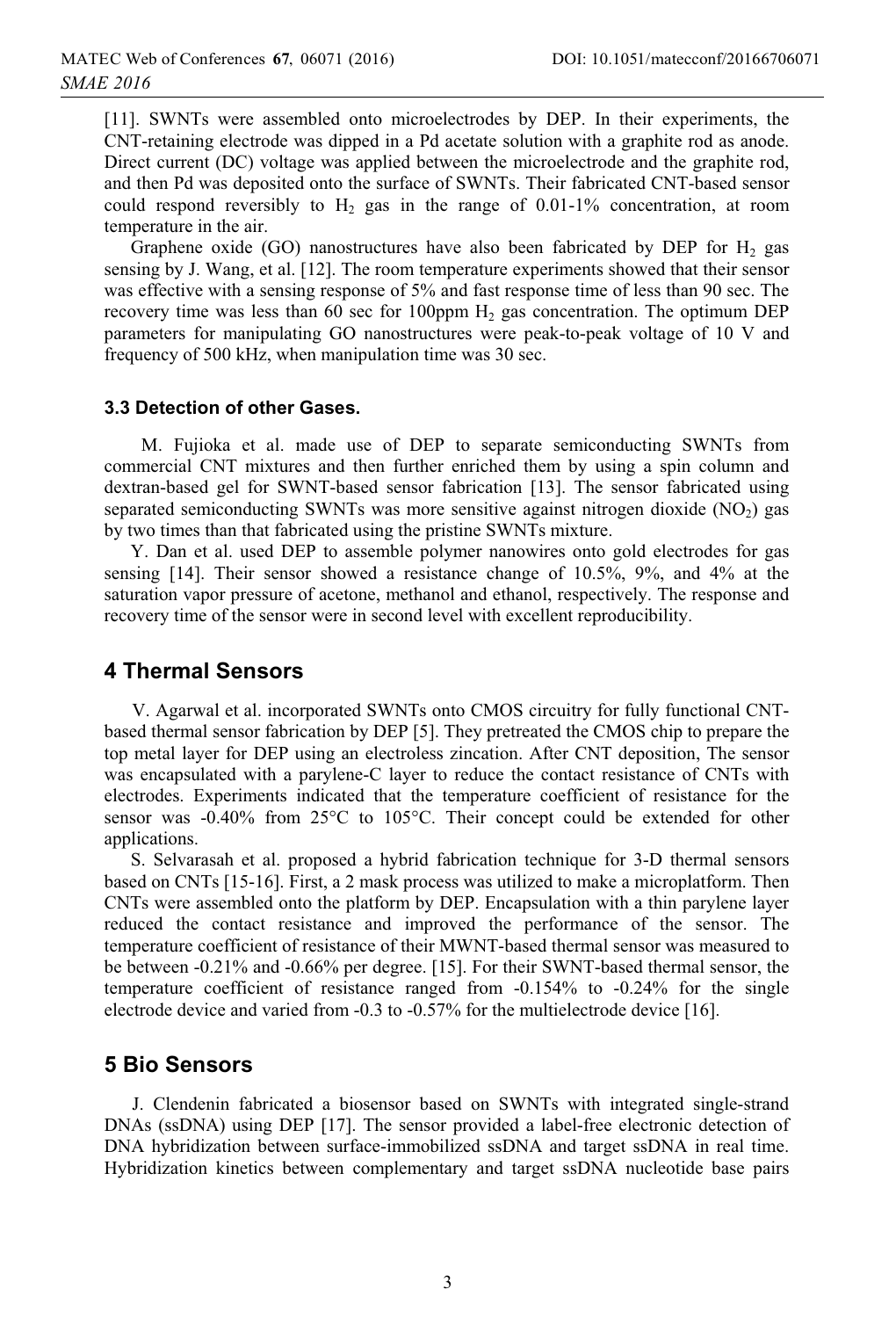[11]. SWNTs were assembled onto microelectrodes by DEP. In their experiments, the CNT-retaining electrode was dipped in a Pd acetate solution with a graphite rod as anode. Direct current (DC) voltage was applied between the microelectrode and the graphite rod, and then Pd was deposited onto the surface of SWNTs. Their fabricated CNT-based sensor could respond reversibly to  $H_2$  gas in the range of 0.01-1% concentration, at room temperature in the air.

Graphene oxide (GO) nanostructures have also been fabricated by DEP for  $H_2$  gas sensing by J. Wang, et al. [12]. The room temperature experiments showed that their sensor was effective with a sensing response of 5% and fast response time of less than 90 sec. The recovery time was less than 60 sec for 100ppm  $H_2$  gas concentration. The optimum DEP parameters for manipulating GO nanostructures were peak-to-peak voltage of 10 V and frequency of 500 kHz, when manipulation time was 30 sec.

#### **3.3 Detection of other Gases.**

M. Fujioka et al. made use of DEP to separate semiconducting SWNTs from commercial CNT mixtures and then further enriched them by using a spin column and dextran-based gel for SWNT-based sensor fabrication [13]. The sensor fabricated using separated semiconducting SWNTs was more sensitive against nitrogen dioxide  $(NO<sub>2</sub>)$  gas by two times than that fabricated using the pristine SWNTs mixture.

Y. Dan et al. used DEP to assemble polymer nanowires onto gold electrodes for gas sensing [14]. Their sensor showed a resistance change of 10.5%, 9%, and 4% at the saturation vapor pressure of acetone, methanol and ethanol, respectively. The response and recovery time of the sensor were in second level with excellent reproducibility.

### **4 Thermal Sensors**

V. Agarwal et al. incorporated SWNTs onto CMOS circuitry for fully functional CNTbased thermal sensor fabrication by DEP [5]. They pretreated the CMOS chip to prepare the top metal layer for DEP using an electroless zincation. After CNT deposition, The sensor was encapsulated with a parylene-C layer to reduce the contact resistance of CNTs with electrodes. Experiments indicated that the temperature coefficient of resistance for the sensor was -0.40% from 25°C to 105°C. Their concept could be extended for other applications.

S. Selvarasah et al. proposed a hybrid fabrication technique for 3-D thermal sensors based on CNTs [15-16]. First, a 2 mask process was utilized to make a microplatform. Then CNTs were assembled onto the platform by DEP. Encapsulation with a thin parylene layer reduced the contact resistance and improved the performance of the sensor. The temperature coefficient of resistance of their MWNT-based thermal sensor was measured to be between -0.21% and -0.66% per degree. [15]. For their SWNT-based thermal sensor, the temperature coefficient of resistance ranged from -0.154% to -0.24% for the single electrode device and varied from -0.3 to -0.57% for the multielectrode device [16].

### **5 Bio Sensors**

J. Clendenin fabricated a biosensor based on SWNTs with integrated single-strand DNAs (ssDNA) using DEP [17]. The sensor provided a label-free electronic detection of DNA hybridization between surface-immobilized ssDNA and target ssDNA in real time. Hybridization kinetics between complementary and target ssDNA nucleotide base pairs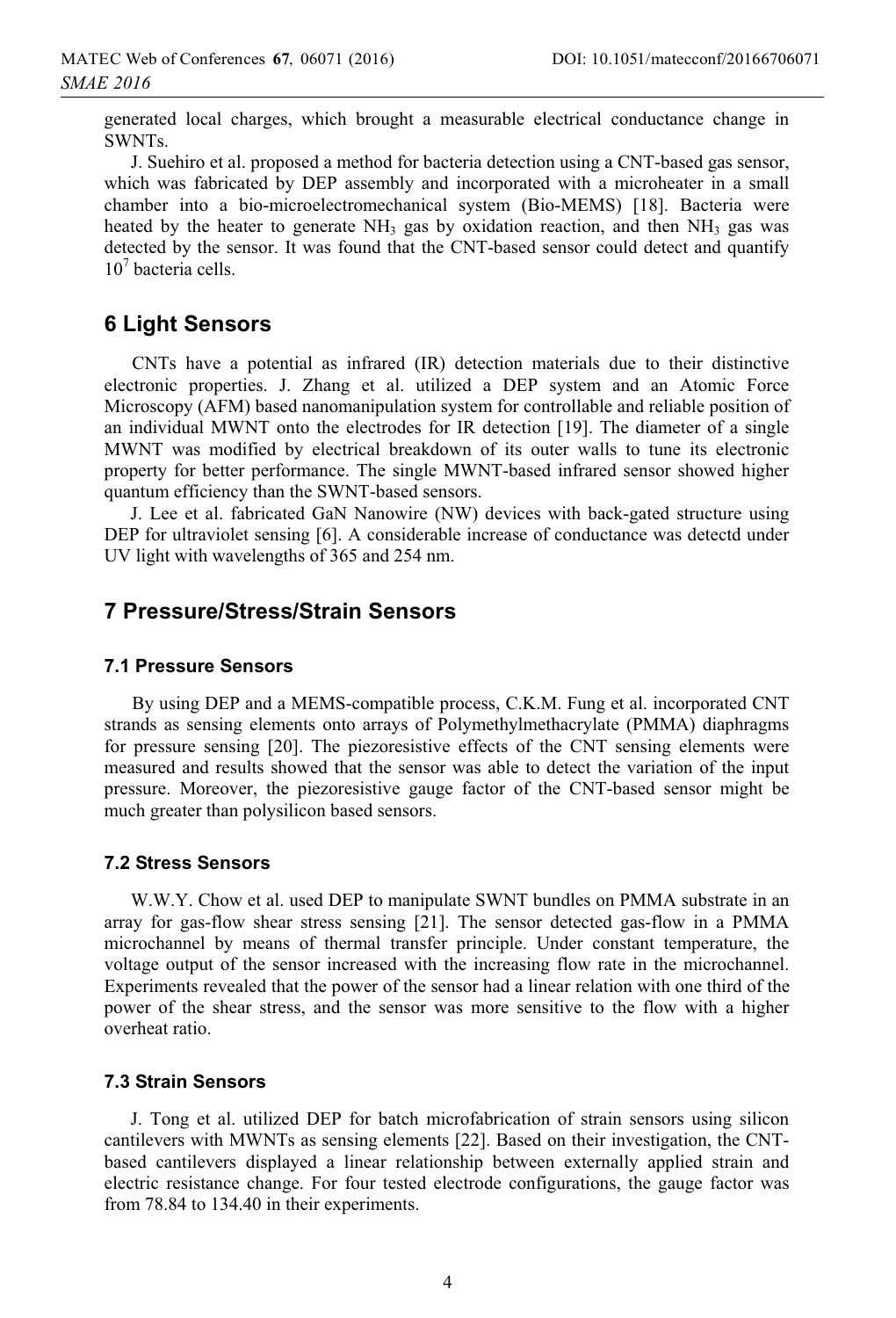generated local charges, which brought a measurable electrical conductance change in SWNTs.

J. Suehiro et al. proposed a method for bacteria detection using a CNT-based gas sensor, which was fabricated by DEP assembly and incorporated with a microheater in a small chamber into a bio-microelectromechanical system (Bio-MEMS) [18]. Bacteria were heated by the heater to generate  $NH<sub>3</sub>$  gas by oxidation reaction, and then  $NH<sub>3</sub>$  gas was detected by the sensor. It was found that the CNT-based sensor could detect and quantify 10<sup>7</sup> bacteria cells.

# **6 Light Sensors**

CNTs have a potential as infrared (IR) detection materials due to their distinctive electronic properties. J. Zhang et al. utilized a DEP system and an Atomic Force Microscopy (AFM) based nanomanipulation system for controllable and reliable position of an individual MWNT onto the electrodes for IR detection [19]. The diameter of a single MWNT was modified by electrical breakdown of its outer walls to tune its electronic property for better performance. The single MWNT-based infrared sensor showed higher quantum efficiency than the SWNT-based sensors.

J. Lee et al. fabricated GaN Nanowire (NW) devices with back-gated structure using DEP for ultraviolet sensing [6]. A considerable increase of conductance was detectd under UV light with wavelengths of 365 and 254 nm.

# **7 Pressure/Stress/Strain Sensors**

### **7.1 Pressure Sensors**

By using DEP and a MEMS-compatible process, C.K.M. Fung et al. incorporated CNT strands as sensing elements onto arrays of Polymethylmethacrylate (PMMA) diaphragms for pressure sensing [20]. The piezoresistive effects of the CNT sensing elements were measured and results showed that the sensor was able to detect the variation of the input pressure. Moreover, the piezoresistive gauge factor of the CNT-based sensor might be much greater than polysilicon based sensors.

### **7.2 Stress Sensors**

W.W.Y. Chow et al. used DEP to manipulate SWNT bundles on PMMA substrate in an array for gas-flow shear stress sensing [21]. The sensor detected gas-flow in a PMMA microchannel by means of thermal transfer principle. Under constant temperature, the voltage output of the sensor increased with the increasing flow rate in the microchannel. Experiments revealed that the power of the sensor had a linear relation with one third of the power of the shear stress, and the sensor was more sensitive to the flow with a higher overheat ratio.

### **7.3 Strain Sensors**

J. Tong et al. utilized DEP for batch microfabrication of strain sensors using silicon cantilevers with MWNTs as sensing elements [22]. Based on their investigation, the CNTbased cantilevers displayed a linear relationship between externally applied strain and electric resistance change. For four tested electrode configurations, the gauge factor was from 78.84 to 134.40 in their experiments.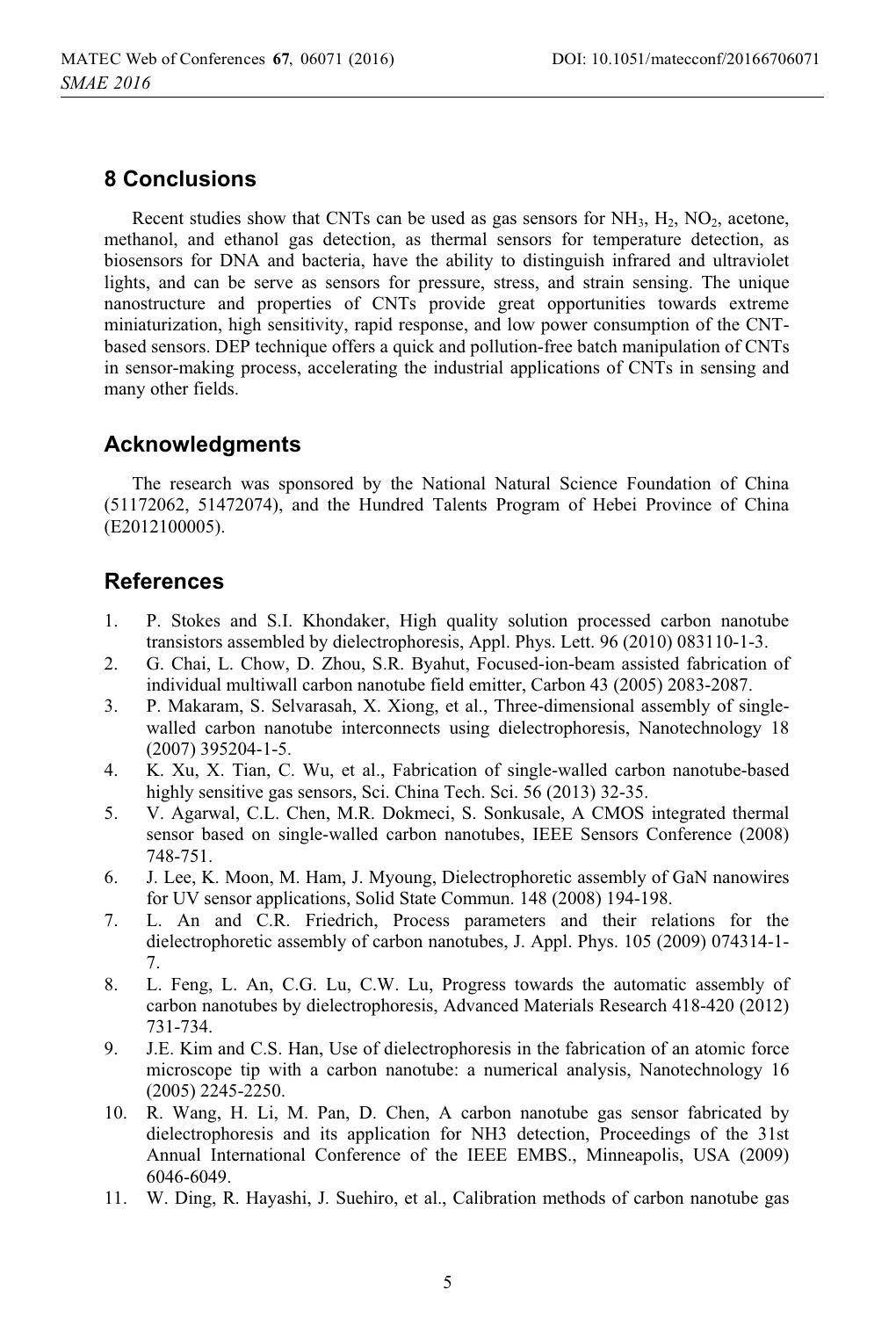# **8 Conclusions**

Recent studies show that CNTs can be used as gas sensors for  $NH_3$ ,  $H_2$ ,  $NO_2$ , acetone, methanol, and ethanol gas detection, as thermal sensors for temperature detection, as biosensors for DNA and bacteria, have the ability to distinguish infrared and ultraviolet lights, and can be serve as sensors for pressure, stress, and strain sensing. The unique nanostructure and properties of CNTs provide great opportunities towards extreme miniaturization, high sensitivity, rapid response, and low power consumption of the CNTbased sensors. DEP technique offers a quick and pollution-free batch manipulation of CNTs in sensor-making process, accelerating the industrial applications of CNTs in sensing and many other fields.

# **Acknowledgments**

The research was sponsored by the National Natural Science Foundation of China (51172062, 51472074), and the Hundred Talents Program of Hebei Province of China (E2012100005).

# **References**

- 1. P. Stokes and S.I. Khondaker, High quality solution processed carbon nanotube transistors assembled by dielectrophoresis, Appl. Phys. Lett. 96 (2010) 083110-1-3.
- 2. G. Chai, L. Chow, D. Zhou, S.R. Byahut, Focused-ion-beam assisted fabrication of individual multiwall carbon nanotube field emitter, Carbon 43 (2005) 2083-2087.
- 3. P. Makaram, S. Selvarasah, X. Xiong, et al., Three-dimensional assembly of singlewalled carbon nanotube interconnects using dielectrophoresis, Nanotechnology 18 (2007) 395204-1-5.
- 4. K. Xu, X. Tian, C. Wu, et al., Fabrication of single-walled carbon nanotube-based highly sensitive gas sensors, Sci. China Tech. Sci. 56 (2013) 32-35.
- 5. V. Agarwal, C.L. Chen, M.R. Dokmeci, S. Sonkusale, A CMOS integrated thermal sensor based on single-walled carbon nanotubes, IEEE Sensors Conference (2008) 748-751.
- 6. J. Lee, K. Moon, M. Ham, J. Myoung, Dielectrophoretic assembly of GaN nanowires for UV sensor applications, Solid State Commun. 148 (2008) 194-198.
- 7. L. An and C.R. Friedrich, Process parameters and their relations for the dielectrophoretic assembly of carbon nanotubes, J. Appl. Phys. 105 (2009) 074314-1- 7.
- 8. L. Feng, L. An, C.G. Lu, C.W. Lu, Progress towards the automatic assembly of carbon nanotubes by dielectrophoresis, Advanced Materials Research 418-420 (2012) 731-734.
- 9. J.E. Kim and C.S. Han, Use of dielectrophoresis in the fabrication of an atomic force microscope tip with a carbon nanotube: a numerical analysis, Nanotechnology 16 (2005) 2245-2250.
- 10. R. Wang, H. Li, M. Pan, D. Chen, A carbon nanotube gas sensor fabricated by dielectrophoresis and its application for NH3 detection, Proceedings of the 31st Annual International Conference of the IEEE EMBS., Minneapolis, USA (2009) 6046-6049.
- 11. W. Ding, R. Hayashi, J. Suehiro, et al., Calibration methods of carbon nanotube gas